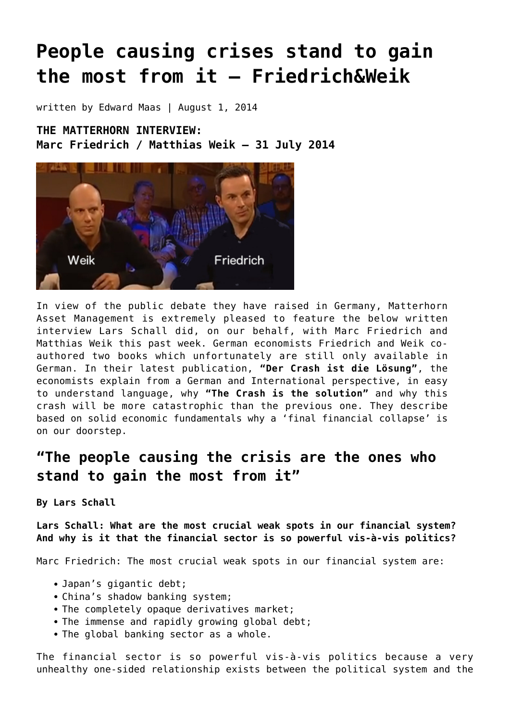# **[People causing crises stand to gain](https://goldswitzerland.com/people-causing-crises-stand-to-gain-the-most-from-it/) [the most from it – Friedrich&Weik](https://goldswitzerland.com/people-causing-crises-stand-to-gain-the-most-from-it/)**

written by Edward Maas | August 1, 2014

**THE MATTERHORN INTERVIEW: Marc Friedrich / Matthias Weik – 31 July 2014**



In view of the public debate they have raised in Germany, Matterhorn Asset Management is extremely pleased to feature the below written interview Lars Schall did, on our behalf, with Marc Friedrich and Matthias Weik this past week. German economists Friedrich and Weik coauthored two books which unfortunately are still only available in German. In their latest publication, **"Der Crash ist die Lösung"**, the economists explain from a German and International perspective, in easy to understand language, why **"The Crash is the solution"** and why this crash will be more catastrophic than the previous one. They describe based on solid economic fundamentals why a 'final financial collapse' is on our doorstep.

# **"The people causing the crisis are the ones who stand to gain the most from it"**

**By Lars Schall**

**Lars Schall: What are the most crucial weak spots in our financial system? And why is it that the financial sector is so powerful vis-à-vis politics?**

Marc Friedrich: The most crucial weak spots in our financial system are:

- Japan's gigantic debt;
- China's shadow banking system;
- The completely opaque derivatives market;
- The immense and rapidly growing global debt;
- The global banking sector as a whole.

The financial sector is so powerful vis-à-vis politics because a very unhealthy one-sided relationship exists between the political system and the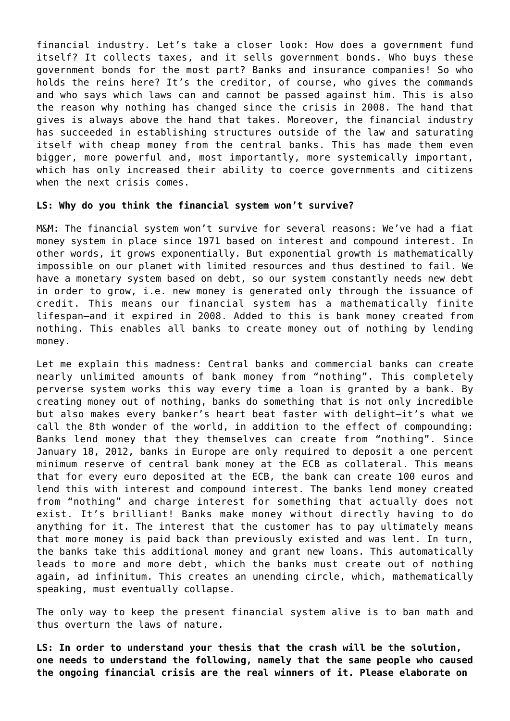financial industry. Let's take a closer look: How does a government fund itself? It collects taxes, and it sells government bonds. Who buys these government bonds for the most part? Banks and insurance companies! So who holds the reins here? It's the creditor, of course, who gives the commands and who says which laws can and cannot be passed against him. This is also the reason why nothing has changed since the crisis in 2008. The hand that gives is always above the hand that takes. Moreover, the financial industry has succeeded in establishing structures outside of the law and saturating itself with cheap money from the central banks. This has made them even bigger, more powerful and, most importantly, more systemically important, which has only increased their ability to coerce governments and citizens when the next crisis comes.

#### **LS: Why do you think the financial system won't survive?**

M&M: The financial system won't survive for several reasons: We've had a fiat money system in place since 1971 based on interest and compound interest. In other words, it grows exponentially. But exponential growth is mathematically impossible on our planet with limited resources and thus destined to fail. We have a monetary system based on debt, so our system constantly needs new debt in order to grow, i.e. new money is generated only through the issuance of credit. This means our financial system has a mathematically finite lifespan–and it expired in 2008. Added to this is bank money created from nothing. This enables all banks to create money out of nothing by lending money.

Let me explain this madness: Central banks and commercial banks can create nearly unlimited amounts of bank money from "nothing". This completely perverse system works this way every time a loan is granted by a bank. By creating money out of nothing, banks do something that is not only incredible but also makes every banker's heart beat faster with delight–it's what we call the 8th wonder of the world, in addition to the effect of compounding: Banks lend money that they themselves can create from "nothing". Since January 18, 2012, banks in Europe are only required to deposit a one percent minimum reserve of central bank money at the ECB as collateral. This means that for every euro deposited at the ECB, the bank can create 100 euros and lend this with interest and compound interest. The banks lend money created from "nothing" and charge interest for something that actually does not exist. It's brilliant! Banks make money without directly having to do anything for it. The interest that the customer has to pay ultimately means that more money is paid back than previously existed and was lent. In turn, the banks take this additional money and grant new loans. This automatically leads to more and more debt, which the banks must create out of nothing again, ad infinitum. This creates an unending circle, which, mathematically speaking, must eventually collapse.

The only way to keep the present financial system alive is to ban math and thus overturn the laws of nature.

**LS: In order to understand your thesis that the crash will be the solution, one needs to understand the following, namely that the same people who caused the ongoing financial crisis are the real winners of it. Please elaborate on**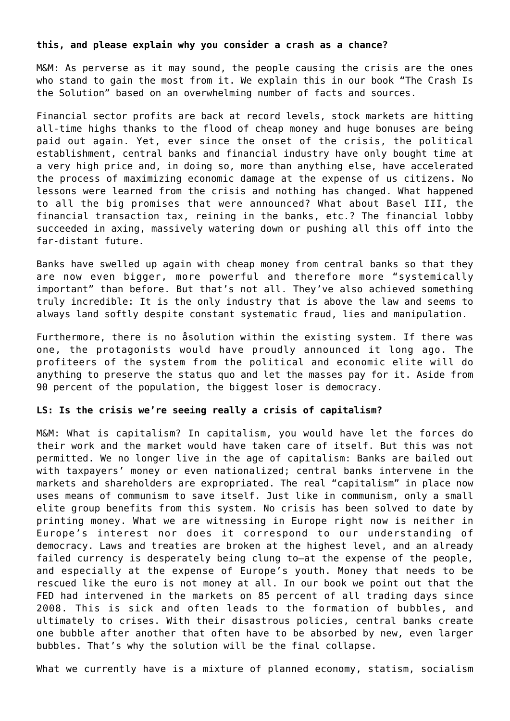#### **this, and please explain why you consider a crash as a chance?**

M&M: As perverse as it may sound, the people causing the crisis are the ones who stand to gain the most from it. We explain this in our book "The Crash Is the Solution" based on an overwhelming number of facts and sources.

Financial sector profits are back at record levels, stock markets are hitting all-time highs thanks to the flood of cheap money and huge bonuses are being paid out again. Yet, ever since the onset of the crisis, the political establishment, central banks and financial industry have only bought time at a very high price and, in doing so, more than anything else, have accelerated the process of maximizing economic damage at the expense of us citizens. No lessons were learned from the crisis and nothing has changed. What happened to all the big promises that were announced? What about Basel III, the financial transaction tax, reining in the banks, etc.? The financial lobby succeeded in axing, massively watering down or pushing all this off into the far-distant future.

Banks have swelled up again with cheap money from central banks so that they are now even bigger, more powerful and therefore more "systemically important" than before. But that's not all. They've also achieved something truly incredible: It is the only industry that is above the law and seems to always land softly despite constant systematic fraud, lies and manipulation.

Furthermore, there is no åsolution within the existing system. If there was one, the protagonists would have proudly announced it long ago. The profiteers of the system from the political and economic elite will do anything to preserve the status quo and let the masses pay for it. Aside from 90 percent of the population, the biggest loser is democracy.

#### **LS: Is the crisis we're seeing really a crisis of capitalism?**

M&M: What is capitalism? In capitalism, you would have let the forces do their work and the market would have taken care of itself. But this was not permitted. We no longer live in the age of capitalism: Banks are bailed out with taxpayers' money or even nationalized; central banks intervene in the markets and shareholders are expropriated. The real "capitalism" in place now uses means of communism to save itself. Just like in communism, only a small elite group benefits from this system. No crisis has been solved to date by printing money. What we are witnessing in Europe right now is neither in Europe's interest nor does it correspond to our understanding of democracy. Laws and treaties are broken at the highest level, and an already failed currency is desperately being clung to–at the expense of the people, and especially at the expense of Europe's youth. Money that needs to be rescued like the euro is not money at all. In our book we point out that the FED had intervened in the markets on 85 percent of all trading days since 2008. This is sick and often leads to the formation of bubbles, and ultimately to crises. With their disastrous policies, central banks create one bubble after another that often have to be absorbed by new, even larger bubbles. That's why the solution will be the final collapse.

What we currently have is a mixture of planned economy, statism, socialism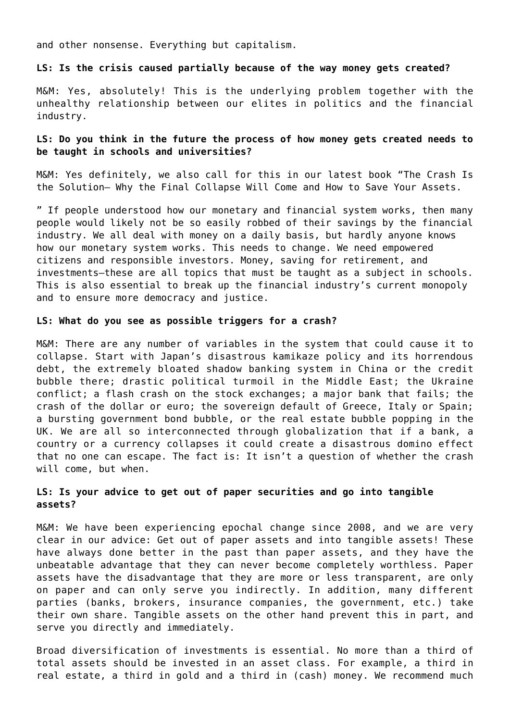and other nonsense. Everything but capitalism.

#### **LS: Is the crisis caused partially because of the way money gets created?**

M&M: Yes, absolutely! This is the underlying problem together with the unhealthy relationship between our elites in politics and the financial industry.

## **LS: Do you think in the future the process of how money gets created needs to be taught in schools and universities?**

M&M: Yes definitely, we also call for this in our latest book "The Crash Is the Solution– Why the Final Collapse Will Come and How to Save Your Assets.

" If people understood how our monetary and financial system works, then many people would likely not be so easily robbed of their savings by the financial industry. We all deal with money on a daily basis, but hardly anyone knows how our monetary system works. This needs to change. We need empowered citizens and responsible investors. Money, saving for retirement, and investments–these are all topics that must be taught as a subject in schools. This is also essential to break up the financial industry's current monopoly and to ensure more democracy and justice.

#### **LS: What do you see as possible triggers for a crash?**

M&M: There are any number of variables in the system that could cause it to collapse. Start with Japan's disastrous kamikaze policy and its horrendous debt, the extremely bloated shadow banking system in China or the credit bubble there; drastic political turmoil in the Middle East; the Ukraine conflict; a flash crash on the stock exchanges; a major bank that fails; the crash of the dollar or euro; the sovereign default of Greece, Italy or Spain; a bursting government bond bubble, or the real estate bubble popping in the UK. We are all so interconnected through globalization that if a bank, a country or a currency collapses it could create a disastrous domino effect that no one can escape. The fact is: It isn't a question of whether the crash will come, but when.

# **LS: Is your advice to get out of paper securities and go into tangible assets?**

M&M: We have been experiencing epochal change since 2008, and we are very clear in our advice: Get out of paper assets and into tangible assets! These have always done better in the past than paper assets, and they have the unbeatable advantage that they can never become completely worthless. Paper assets have the disadvantage that they are more or less transparent, are only on paper and can only serve you indirectly. In addition, many different parties (banks, brokers, insurance companies, the government, etc.) take their own share. Tangible assets on the other hand prevent this in part, and serve you directly and immediately.

Broad diversification of investments is essential. No more than a third of total assets should be invested in an asset class. For example, a third in real estate, a third in gold and a third in (cash) money. We recommend much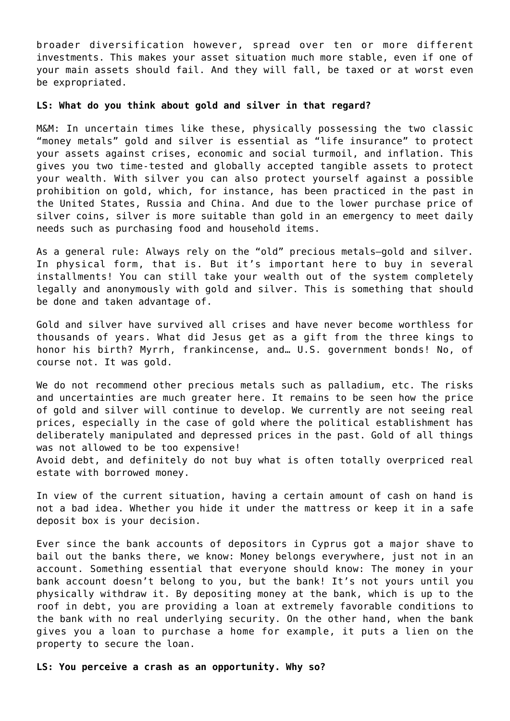broader diversification however, spread over ten or more different investments. This makes your asset situation much more stable, even if one of your main assets should fail. And they will fall, be taxed or at worst even be expropriated.

#### **LS: What do you think about gold and silver in that regard?**

M&M: In uncertain times like these, physically possessing the two classic "money metals" gold and silver is essential as "life insurance" to protect your assets against crises, economic and social turmoil, and inflation. This gives you two time-tested and globally accepted tangible assets to protect your wealth. With silver you can also protect yourself against a possible prohibition on gold, which, for instance, has been practiced in the past in the United States, Russia and China. And due to the lower purchase price of silver coins, silver is more suitable than gold in an emergency to meet daily needs such as purchasing food and household items.

As a general rule: Always rely on the "old" precious metals–gold and silver. In physical form, that is. But it's important here to buy in several installments! You can still take your wealth out of the system completely legally and anonymously with gold and silver. This is something that should be done and taken advantage of.

Gold and silver have survived all crises and have never become worthless for thousands of years. What did Jesus get as a gift from the three kings to honor his birth? Myrrh, frankincense, and… U.S. government bonds! No, of course not. It was gold.

We do not recommend other precious metals such as palladium, etc. The risks and uncertainties are much greater here. It remains to be seen how the price of gold and silver will continue to develop. We currently are not seeing real prices, especially in the case of gold where the political establishment has deliberately manipulated and depressed prices in the past. Gold of all things was not allowed to be too expensive!

Avoid debt, and definitely do not buy what is often totally overpriced real estate with borrowed money.

In view of the current situation, having a certain amount of cash on hand is not a bad idea. Whether you hide it under the mattress or keep it in a safe deposit box is your decision.

Ever since the bank accounts of depositors in Cyprus got a major shave to bail out the banks there, we know: Money belongs everywhere, just not in an account. Something essential that everyone should know: The money in your bank account doesn't belong to you, but the bank! It's not yours until you physically withdraw it. By depositing money at the bank, which is up to the roof in debt, you are providing a loan at extremely favorable conditions to the bank with no real underlying security. On the other hand, when the bank gives you a loan to purchase a home for example, it puts a lien on the property to secure the loan.

**LS: You perceive a crash as an opportunity. Why so?**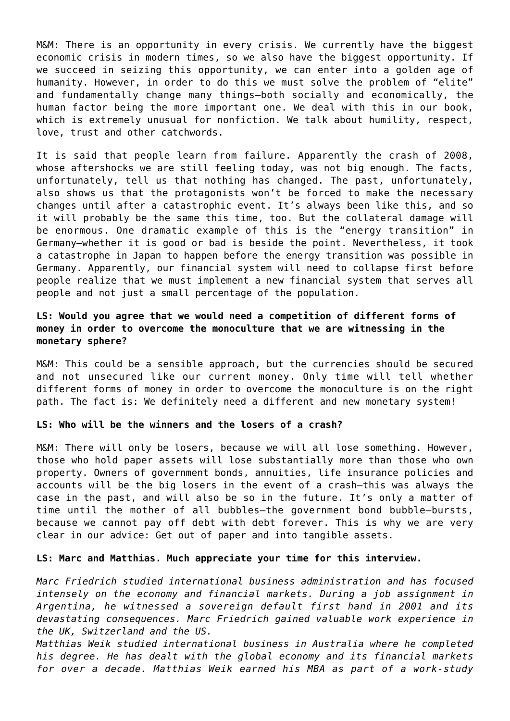M&M: There is an opportunity in every crisis. We currently have the biggest economic crisis in modern times, so we also have the biggest opportunity. If we succeed in seizing this opportunity, we can enter into a golden age of humanity. However, in order to do this we must solve the problem of "elite" and fundamentally change many things–both socially and economically, the human factor being the more important one. We deal with this in our book, which is extremely unusual for nonfiction. We talk about humility, respect, love, trust and other catchwords.

It is said that people learn from failure. Apparently the crash of 2008, whose aftershocks we are still feeling today, was not big enough. The facts, unfortunately, tell us that nothing has changed. The past, unfortunately, also shows us that the protagonists won't be forced to make the necessary changes until after a catastrophic event. It's always been like this, and so it will probably be the same this time, too. But the collateral damage will be enormous. One dramatic example of this is the "energy transition" in Germany–whether it is good or bad is beside the point. Nevertheless, it took a catastrophe in Japan to happen before the energy transition was possible in Germany. Apparently, our financial system will need to collapse first before people realize that we must implement a new financial system that serves all people and not just a small percentage of the population.

# **LS: Would you agree that we would need a competition of different forms of money in order to overcome the monoculture that we are witnessing in the monetary sphere?**

M&M: This could be a sensible approach, but the currencies should be secured and not unsecured like our current money. Only time will tell whether different forms of money in order to overcome the monoculture is on the right path. The fact is: We definitely need a different and new monetary system!

#### **LS: Who will be the winners and the losers of a crash?**

M&M: There will only be losers, because we will all lose something. However, those who hold paper assets will lose substantially more than those who own property. Owners of government bonds, annuities, life insurance policies and accounts will be the big losers in the event of a crash–this was always the case in the past, and will also be so in the future. It's only a matter of time until the mother of all bubbles–the government bond bubble–bursts, because we cannot pay off debt with debt forever. This is why we are very clear in our advice: Get out of paper and into tangible assets.

## **LS: Marc and Matthias. Much appreciate your time for this interview.**

*Marc Friedrich studied international business administration and has focused intensely on the economy and financial markets. During a job assignment in Argentina, he witnessed a sovereign default first hand in 2001 and its devastating consequences. Marc Friedrich gained valuable work experience in the UK, Switzerland and the US.*

*Matthias Weik studied international business in Australia where he completed his degree. He has dealt with the global economy and its financial markets for over a decade. Matthias Weik earned his MBA as part of a work-study*